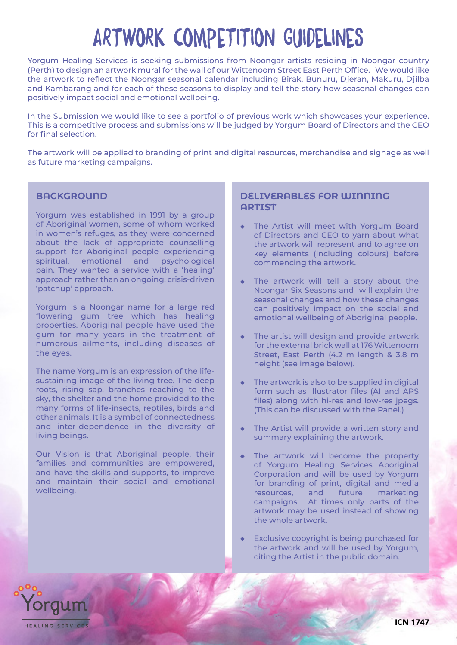# ARTWORK COMPETITION GUIDELINES

Yorgum Healing Services is seeking submissions from Noongar artists residing in Noongar country (Perth) to design an artwork mural for the wall of our Wittenoom Street East Perth Office. We would like the artwork to reflect the Noongar seasonal calendar including Birak, Bunuru, Djeran, Makuru, Djilba and Kambarang and for each of these seasons to display and tell the story how seasonal changes can positively impact social and emotional wellbeing.

In the Submission we would like to see a portfolio of previous work which showcases your experience. This is a competitive process and submissions will be judged by Yorgum Board of Directors and the CEO for final selection.

The artwork will be applied to branding of print and digital resources, merchandise and signage as well as future marketing campaigns.

#### **BACKGROUND**

Yorgum was established in 1991 by a group of Aboriginal women, some of whom worked in women's refuges, as they were concerned about the lack of appropriate counselling support for Aboriginal people experiencing spiritual, emotional and psychological pain. They wanted a service with a 'healing' approach rather than an ongoing, crisis-driven 'patchup' approach.

Yorgum is a Noongar name for a large red flowering gum tree which has healing properties. Aboriginal people have used the gum for many years in the treatment of numerous ailments, including diseases of the eyes.

The name Yorgum is an expression of the lifesustaining image of the living tree. The deep roots, rising sap, branches reaching to the sky, the shelter and the home provided to the many forms of life-insects, reptiles, birds and other animals. It is a symbol of connectedness and inter-dependence in the diversity of living beings.

Our Vision is that Aboriginal people, their families and communities are empowered, and have the skills and supports, to improve and maintain their social and emotional wellbeing.

#### **DELIVERABLES FOR WINNING ARTIST**

- The Artist will meet with Yorgum Board of Directors and CEO to yarn about what the artwork will represent and to agree on key elements (including colours) before commencing the artwork.
- The artwork will tell a story about the Noongar Six Seasons and will explain the seasonal changes and how these changes can positively impact on the social and emotional wellbeing of Aboriginal people.
- The artist will design and provide artwork for the external brick wall at 176 Wittenoom Street, East Perth (4.2 m length & 3.8 m height (see image below).
- $\bullet$  The artwork is also to be supplied in digital form such as Illustrator files (AI and APS files) along with hi-res and low-res jpegs. (This can be discussed with the Panel.)
- The Artist will provide a written story and summary explaining the artwork.
- The artwork will become the property of Yorgum Healing Services Aboriginal Corporation and will be used by Yorgum for branding of print, digital and media resources, and future marketing campaigns. At times only parts of the artwork may be used instead of showing the whole artwork.
- Exclusive copyright is being purchased for the artwork and will be used by Yorgum, citing the Artist in the public domain.

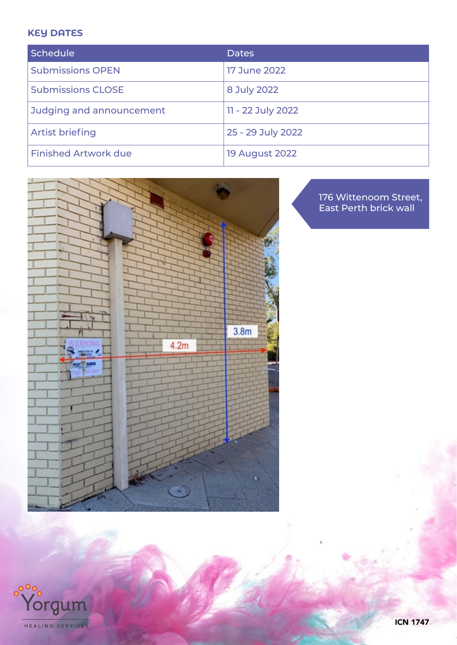## **KEY DATES**

 $\circ$ <sup>oo</sup>c

Yorgum

HEALING SERVICES

| Schedule                    | <b>Dates</b>          |
|-----------------------------|-----------------------|
| <b>Submissions OPEN</b>     | <b>17 June 2022</b>   |
| <b>Submissions CLOSE</b>    | 8 July 2022           |
| Judging and announcement    | 11 - 22 July 2022     |
| <b>Artist briefing</b>      | 25 - 29 July 2022     |
| <b>Finished Artwork due</b> | <b>19 August 2022</b> |



176 Wittenoom Street, East Perth brick wall